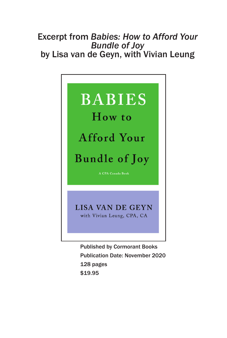### Excerpt from *Babies: How to Afford Your Bundle of Joy* by Lisa van de Geyn, with Vivian Leung



Published by Cormorant Books Publication Date: November 2020 128 pages \$19.95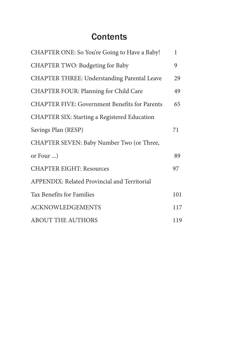## **Contents**

| CHAPTER ONE: So You're Going to Have a Baby!         | 1   |
|------------------------------------------------------|-----|
| CHAPTER TWO: Budgeting for Baby                      | 9   |
| CHAPTER THREE: Understanding Parental Leave          | 29  |
| CHAPTER FOUR: Planning for Child Care                | 49  |
| <b>CHAPTER FIVE: Government Benefits for Parents</b> | 65  |
| CHAPTER SIX: Starting a Registered Education         |     |
| Savings Plan (RESP)                                  | 71  |
| CHAPTER SEVEN: Baby Number Two (or Three,            |     |
| or Four )                                            | 89  |
| <b>CHAPTER EIGHT: Resources</b>                      | 97  |
| APPENDIX: Related Provincial and Territorial         |     |
| Tax Benefits for Families                            | 101 |
| <b>ACKNOWLEDGEMENTS</b>                              | 117 |
| <b>ABOUT THE AUTHORS</b>                             | 119 |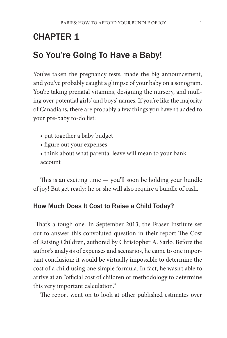# CHAPTER 1

## So You're Going To Have a Baby!

You've taken the pregnancy tests, made the big announcement, and you've probably caught a glimpse of your baby on a sonogram. You're taking prenatal vitamins, designing the nursery, and mulling over potential girls' and boys' names. If you're like the majority of Canadians, there are probably a few things you haven't added to your pre-baby to-do list:

- put together a baby budget
- figure out your expenses
- think about what parental leave will mean to your bank account

This is an exciting time — you'll soon be holding your bundle of joy! But get ready: he or she will also require a bundle of cash.

#### How Much Does It Cost to Raise a Child Today?

 That's a tough one. In September 2013, the Fraser Institute set out to answer this convoluted question in their report The Cost of Raising Children, authored by Christopher A. Sarlo. Before the author's analysis of expenses and scenarios, he came to one important conclusion: it would be virtually impossible to determine the cost of a child using one simple formula. In fact, he wasn't able to arrive at an "official cost of children or methodology to determine this very important calculation."

The report went on to look at other published estimates over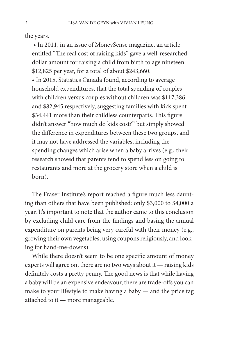the years.

 • In 2011, in an issue of MoneySense magazine, an article entitled "The real cost of raising kids" gave a well-researched dollar amount for raising a child from birth to age nineteen: \$12,825 per year, for a total of about \$243,660.

• In 2015, Statistics Canada found, according to average household expenditures, that the total spending of couples with children versus couples without children was \$117,386 and \$82,945 respectively, suggesting families with kids spent \$34,441 more than their childless counterparts. This figure didn't answer "how much do kids cost?" but simply showed the difference in expenditures between these two groups, and it may not have addressed the variables, including the spending changes which arise when a baby arrives (e.g., their research showed that parents tend to spend less on going to restaurants and more at the grocery store when a child is born).

The Fraser Institute's report reached a figure much less daunting than others that have been published: only \$3,000 to \$4,000 a year. It's important to note that the author came to this conclusion by excluding child care from the findings and basing the annual expenditure on parents being very careful with their money (e.g., growing their own vegetables, using coupons religiously, and looking for hand-me-downs).

While there doesn't seem to be one specific amount of money experts will agree on, there are no two ways about it — raising kids definitely costs a pretty penny. The good news is that while having a baby will be an expensive endeavour, there are trade-offs you can make to your lifestyle to make having a baby — and the price tag attached to it — more manageable.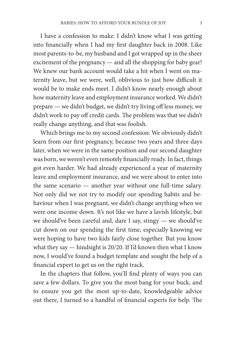I have a confession to make: I didn't know what I was getting into financially when I had my first daughter back in 2008. Like most parents-to-be, my husband and I got wrapped up in the sheer excitement of the pregnancy — and all the shopping for baby gear! We knew our bank account would take a hit when I went on maternity leave, but we were, well, oblivious to just how difficult it would be to make ends meet. I didn't know nearly enough about how maternity leave and employment insurance worked. We didn't prepare — we didn't budget, we didn't try living off less money, we didn't work to pay off credit cards. The problem was that we didn't really change anything, and that was foolish.

Which brings me to my second confession: We obviously didn't learn from our first pregnancy, because two years and three days later, when we were in the same position and our second daughter was born, we weren't even remotely financially ready. In fact, things got even harder. We had already experienced a year of maternity leave and employment insurance, and we were about to enter into the same scenario — another year without one full-time salary. Not only did we not try to modify our spending habits and behaviour when I was pregnant, we didn't change anything when we were one income down. It's not like we have a lavish lifestyle, but we should've been careful and, dare I say, stingy — we should've cut down on our spending the first time, especially knowing we were hoping to have two kids fairly close together. But you know what they say — hindsight is 20/20. If I'd known then what I know now, I would've found a budget template and sought the help of a financial expert to get us on the right track.

In the chapters that follow, you'll find plenty of ways you can save a few dollars. To give you the most bang for your buck, and to ensure you get the most up-to-date, knowledgeable advice out there, I turned to a handful of financial experts for help. The